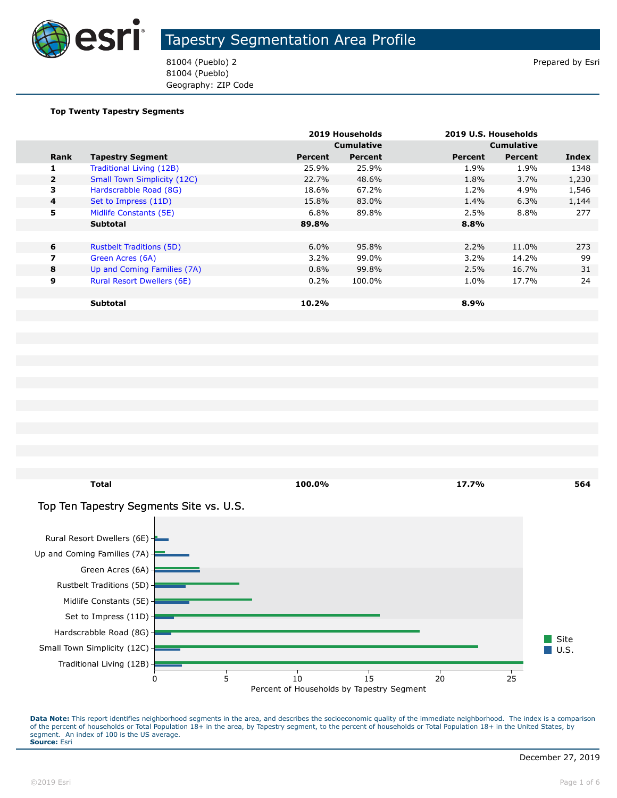

81004 (Pueblo) 2 Prepared by Esri 81004 (Pueblo) Geography: ZIP Code

#### **Top Twenty Tapestry Segments**

|                         |                                    |         | 2019 Households   |         | 2019 U.S. Households |       |
|-------------------------|------------------------------------|---------|-------------------|---------|----------------------|-------|
|                         |                                    |         | <b>Cumulative</b> |         | <b>Cumulative</b>    |       |
| Rank                    | <b>Tapestry Segment</b>            | Percent | Percent           | Percent | <b>Percent</b>       | Index |
| 1                       | Traditional Living (12B)           | 25.9%   | 25.9%             | 1.9%    | 1.9%                 | 1348  |
| $\overline{2}$          | <b>Small Town Simplicity (12C)</b> | 22.7%   | 48.6%             | 1.8%    | $3.7\%$              | 1,230 |
| 3                       | Hardscrabble Road (8G)             | 18.6%   | 67.2%             | 1.2%    | 4.9%                 | 1,546 |
| $\overline{\mathbf{4}}$ | Set to Impress (11D)               | 15.8%   | 83.0%             | 1.4%    | 6.3%                 | 1,144 |
| 5                       | Midlife Constants (5E)             | 6.8%    | 89.8%             | 2.5%    | 8.8%                 | 277   |
|                         | <b>Subtotal</b>                    | 89.8%   |                   | 8.8%    |                      |       |
|                         |                                    |         |                   |         |                      |       |
| 6                       | <b>Rustbelt Traditions (5D)</b>    | $6.0\%$ | 95.8%             | $2.2\%$ | 11.0%                | 273   |
| 7                       | Green Acres (6A)                   | $3.2\%$ | 99.0%             | $3.2\%$ | 14.2%                | 99    |
| 8                       | Up and Coming Families (7A)        | 0.8%    | 99.8%             | 2.5%    | 16.7%                | 31    |
| 9                       | Rural Resort Dwellers (6E)         | 0.2%    | 100.0%            | 1.0%    | 17.7%                | 24    |
|                         |                                    |         |                   |         |                      |       |
|                         | <b>Subtotal</b>                    | 10.2%   |                   | 8.9%    |                      |       |



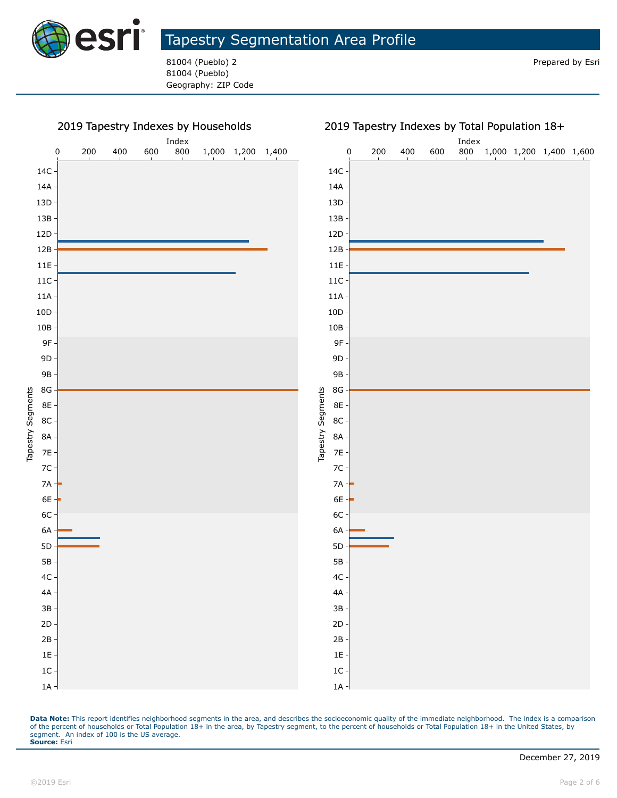

81004 (Pueblo) 2 **Prepared by Esri** Prepared by Esri 81004 (Pueblo) Geography: ZIP Code



#### 2019 Tapestry Indexes by Total Population 18+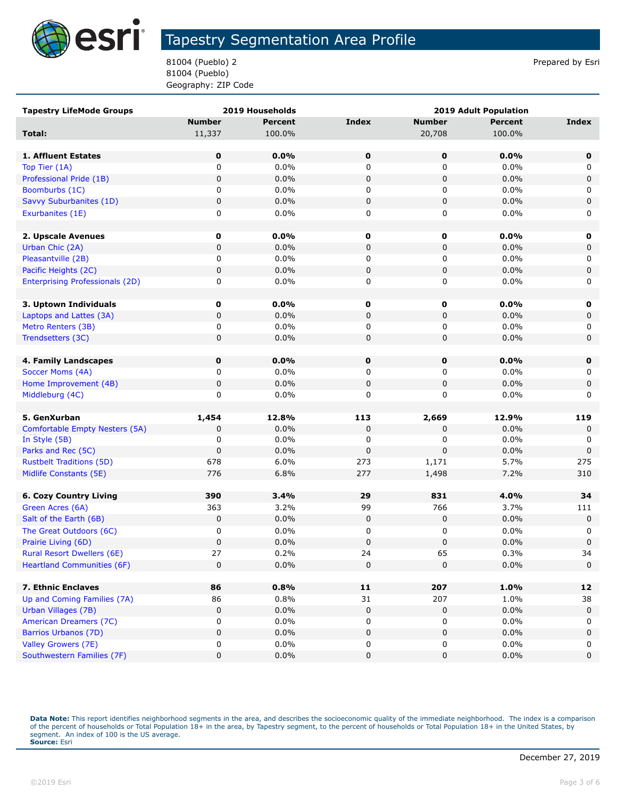

81004 (Pueblo) 2 Prepared by Esri 81004 (Pueblo) Geography: ZIP Code

| <b>Tapestry LifeMode Groups</b>                 |               | 2019 Households | <b>2019 Adult Population</b> |               |                |             |
|-------------------------------------------------|---------------|-----------------|------------------------------|---------------|----------------|-------------|
|                                                 | <b>Number</b> | <b>Percent</b>  | <b>Index</b>                 | <b>Number</b> | <b>Percent</b> | Index       |
| Total:                                          | 11,337        | 100.0%          |                              | 20,708        | 100.0%         |             |
|                                                 |               |                 |                              |               |                |             |
| 1. Affluent Estates                             | $\mathbf 0$   | 0.0%            | $\mathbf 0$                  | 0             | 0.0%           | $\mathbf 0$ |
| Top Tier (1A)                                   | 0             | 0.0%            | 0                            | 0             | 0.0%           | 0           |
| Professional Pride (1B)                         | $\pmb{0}$     | 0.0%            | 0                            | $\pmb{0}$     | 0.0%           | 0           |
| Boomburbs (1C)                                  | 0             | 0.0%            | 0                            | 0             | 0.0%           | 0           |
| Savvy Suburbanites (1D)                         | 0             | 0.0%            | 0                            | 0             | 0.0%           | $\pmb{0}$   |
| Exurbanites (1E)                                | 0             | 0.0%            | 0                            | 0             | 0.0%           | 0           |
|                                                 |               |                 |                              |               |                |             |
| 2. Upscale Avenues                              | 0             | $0.0\%$         | 0                            | 0             | 0.0%           | 0           |
| Urban Chic (2A)                                 | $\mathbf 0$   | 0.0%            | 0                            | 0             | 0.0%           | 0           |
| Pleasantville (2B)                              | 0             | 0.0%            | 0                            | 0             | 0.0%           | 0           |
| Pacific Heights (2C)                            | $\mathbf 0$   | 0.0%            | 0                            | 0             | 0.0%           | 0           |
| <b>Enterprising Professionals (2D)</b>          | 0             | 0.0%            | 0                            | 0             | 0.0%           | 0           |
|                                                 |               |                 |                              |               |                |             |
| 3. Uptown Individuals                           | 0             | $0.0\%$         | 0                            | 0             | 0.0%           | 0           |
| Laptops and Lattes (3A)                         | 0             | 0.0%            | 0                            | 0             | 0.0%           | 0           |
| Metro Renters (3B)                              | 0             | 0.0%            | 0                            | 0             | 0.0%           | 0           |
| Trendsetters (3C)                               | 0             | 0.0%            | 0                            | 0             | 0.0%           | $\mathbf 0$ |
|                                                 |               |                 |                              |               |                |             |
| 4. Family Landscapes                            | 0             | 0.0%            | 0                            | 0             | 0.0%           | $\mathbf 0$ |
| Soccer Moms (4A)                                | 0             | 0.0%            | 0                            | 0             | 0.0%           | 0           |
| Home Improvement (4B)                           | 0             | 0.0%            | 0                            | 0             | 0.0%           | 0           |
| Middleburg (4C)                                 | 0             | 0.0%            | 0                            | 0             | 0.0%           | 0           |
|                                                 |               |                 |                              |               |                |             |
| 5. GenXurban                                    | 1,454         | 12.8%<br>0.0%   | 113<br>0                     | 2,669<br>0    | 12.9%<br>0.0%  | 119         |
| Comfortable Empty Nesters (5A)<br>In Style (5B) | 0<br>0        | 0.0%            | 0                            | 0             | 0.0%           | 0<br>0      |
| Parks and Rec (5C)                              | $\mathbf 0$   | 0.0%            | 0                            | $\Omega$      | 0.0%           | 0           |
| <b>Rustbelt Traditions (5D)</b>                 | 678           | 6.0%            | 273                          | 1,171         | 5.7%           | 275         |
| Midlife Constants (5E)                          | 776           | 6.8%            | 277                          | 1,498         | 7.2%           | 310         |
|                                                 |               |                 |                              |               |                |             |
| <b>6. Cozy Country Living</b>                   | 390           | 3.4%            | 29                           | 831           | 4.0%           | 34          |
| Green Acres (6A)                                | 363           | 3.2%            | 99                           | 766           | 3.7%           | 111         |
| Salt of the Earth (6B)                          | $\mathbf 0$   | 0.0%            | 0                            | 0             | 0.0%           | 0           |
| The Great Outdoors (6C)                         | 0             | 0.0%            | 0                            | 0             | 0.0%           | 0           |
| Prairie Living (6D)                             | $\mathbf 0$   | 0.0%            | 0                            | 0             | 0.0%           | $\pmb{0}$   |
| Rural Resort Dwellers (6E)                      | 27            | 0.2%            | 24                           | 65            | 0.3%           | 34          |
| <b>Heartland Communities (6F)</b>               | $\mathbf 0$   | 0.0%            | 0                            | $\pmb{0}$     | 0.0%           | 0           |
|                                                 |               |                 |                              |               |                |             |
| 7. Ethnic Enclaves                              | 86            | 0.8%            | 11                           | 207           | 1.0%           | 12          |
| Up and Coming Families (7A)                     | 86            | 0.8%            | 31                           | 207           | 1.0%           | 38          |
| Urban Villages (7B)                             | 0             | 0.0%            | $\pmb{0}$                    | 0             | 0.0%           | 0           |
| American Dreamers (7C)                          | 0             | 0.0%            | 0                            | 0             | 0.0%           | 0           |
| <b>Barrios Urbanos (7D)</b>                     | $\mathsf 0$   | 0.0%            | 0                            | 0             | 0.0%           | 0           |
| Valley Growers (7E)                             | 0             | $0.0\%$         | 0                            | 0             | 0.0%           | 0           |
| Southwestern Families (7F)                      | 0             | 0.0%            | 0                            | 0             | 0.0%           | $\pmb{0}$   |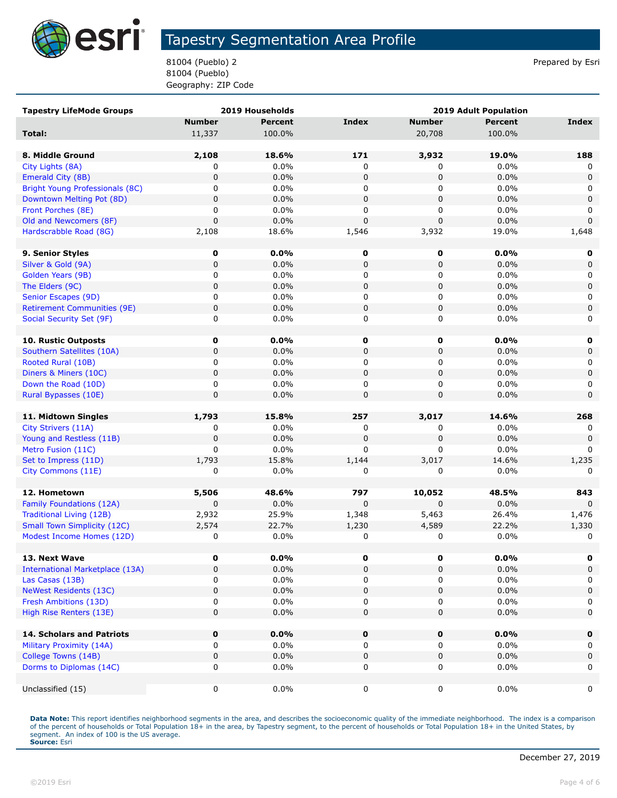

81004 (Pueblo) 2 Prepared by Esri 81004 (Pueblo) Geography: ZIP Code

| <b>Tapestry LifeMode Groups</b>        |               | 2019 Households | <b>2019 Adult Population</b> |               |                |                  |
|----------------------------------------|---------------|-----------------|------------------------------|---------------|----------------|------------------|
|                                        | <b>Number</b> | <b>Percent</b>  | <b>Index</b>                 | <b>Number</b> | <b>Percent</b> | <b>Index</b>     |
| Total:                                 | 11,337        | 100.0%          |                              | 20,708        | 100.0%         |                  |
|                                        |               |                 |                              |               |                |                  |
| 8. Middle Ground                       | 2,108         | 18.6%           | 171                          | 3,932         | 19.0%          | 188              |
| City Lights (8A)                       | 0             | 0.0%            | 0                            | 0             | $0.0\%$        | 0                |
| Emerald City (8B)                      | $\pmb{0}$     | 0.0%            | $\mathbf 0$                  | 0             | 0.0%           | $\mathbf 0$      |
| Bright Young Professionals (8C)        | 0             | 0.0%            | 0                            | 0             | 0.0%           | 0                |
| Downtown Melting Pot (8D)              | 0             | 0.0%            | $\pmb{0}$                    | 0             | 0.0%           | 0                |
| Front Porches (8E)                     | 0             | 0.0%            | 0                            | 0             | 0.0%           | 0                |
| Old and Newcomers (8F)                 | $\mathbf 0$   | 0.0%            | $\mathbf 0$                  | $\mathbf 0$   | 0.0%           | $\mathbf 0$      |
| Hardscrabble Road (8G)                 | 2,108         | 18.6%           | 1,546                        | 3,932         | 19.0%          | 1,648            |
|                                        |               |                 |                              |               |                |                  |
| 9. Senior Styles                       | 0             | $0.0\%$         | 0                            | 0             | 0.0%           | 0                |
| Silver & Gold (9A)                     | $\pmb{0}$     | 0.0%            | $\pmb{0}$                    | 0             | 0.0%           | 0                |
| Golden Years (9B)                      | 0             | 0.0%            | 0                            | 0             | 0.0%           | 0                |
| The Elders (9C)                        | $\pmb{0}$     | 0.0%            | $\pmb{0}$                    | 0             | 0.0%           | $\mathbf 0$      |
| Senior Escapes (9D)                    | 0             | 0.0%            | 0                            | 0             | 0.0%           | 0                |
| <b>Retirement Communities (9E)</b>     | 0             | 0.0%            | $\pmb{0}$                    | $\pmb{0}$     | 0.0%           | 0                |
| Social Security Set (9F)               | 0             | 0.0%            | 0                            | 0             | 0.0%           | 0                |
|                                        |               |                 |                              |               |                |                  |
| 10. Rustic Outposts                    | 0             | 0.0%            | 0                            | 0             | 0.0%           | 0                |
| Southern Satellites (10A)              | 0             | 0.0%            | $\pmb{0}$                    | 0             | 0.0%           | 0                |
| Rooted Rural (10B)                     | 0             | 0.0%            | 0                            | 0             | $0.0\%$        | 0                |
| Diners & Miners (10C)                  | $\mathbf 0$   | 0.0%            | $\mathbf 0$                  | 0             | 0.0%           | $\mathbf 0$      |
| Down the Road (10D)                    | 0             | 0.0%            | 0                            | 0             | 0.0%           | 0                |
| Rural Bypasses (10E)                   | $\pmb{0}$     | 0.0%            | $\pmb{0}$                    | 0             | 0.0%           | $\mathbf 0$      |
|                                        |               |                 |                              |               |                |                  |
| 11. Midtown Singles                    | 1,793         | 15.8%           | 257                          | 3,017         | 14.6%          | 268              |
| City Strivers (11A)                    | 0             | 0.0%            | 0                            | 0             | $0.0\%$        | 0                |
| Young and Restless (11B)               | $\pmb{0}$     | 0.0%            | $\pmb{0}$                    | 0             | 0.0%           | $\mathbf 0$      |
| Metro Fusion (11C)                     | 0             | 0.0%            | 0                            | 0             | $0.0\%$        | $\Omega$         |
| Set to Impress (11D)                   | 1,793         | 15.8%           | 1,144                        | 3,017         | 14.6%          | 1,235            |
| City Commons (11E)                     | 0             | 0.0%            | 0                            | 0             | 0.0%           | 0                |
|                                        |               |                 |                              |               |                |                  |
| 12. Hometown                           | 5,506         | 48.6%           | 797                          | 10,052        | 48.5%          | 843              |
| Family Foundations (12A)               | $\mathbf 0$   | 0.0%            | $\mathbf 0$                  | $\mathbf 0$   | 0.0%           | $\mathbf 0$      |
| <b>Traditional Living (12B)</b>        | 2,932         | 25.9%           | 1,348                        | 5,463         | 26.4%          | 1,476            |
| <b>Small Town Simplicity (12C)</b>     | 2,574         | 22.7%           | 1,230                        | 4,589         | 22.2%          | 1,330            |
| Modest Income Homes (12D)              | 0             | 0.0%            | 0                            | 0             | 0.0%           | 0                |
|                                        |               |                 |                              |               |                |                  |
| 13. Next Wave                          | 0             | $0.0\%$         | 0                            | 0             | $0.0\%$        | 0                |
| <b>International Marketplace (13A)</b> | 0             | 0.0%            | $\pmb{0}$                    | 0             | 0.0%           | 0                |
| Las Casas (13B)                        | 0<br>0        | 0.0%<br>0.0%    | 0<br>$\pmb{0}$               | 0<br>0        | 0.0%<br>0.0%   | 0<br>$\mathbf 0$ |
| <b>NeWest Residents (13C)</b>          | 0             | $0.0\%$         | 0                            | 0             | 0.0%           |                  |
| Fresh Ambitions (13D)                  |               |                 |                              |               |                | 0                |
| High Rise Renters (13E)                | $\mathbf 0$   | 0.0%            | 0                            | 0             | 0.0%           | 0                |
| <b>14. Scholars and Patriots</b>       | 0             | 0.0%            | $\pmb{0}$                    | $\pmb{0}$     | 0.0%           | $\mathbf 0$      |
| Military Proximity (14A)               | 0             | 0.0%            | 0                            | 0             | $0.0\%$        | 0                |
| College Towns (14B)                    | 0             | 0.0%            | $\pmb{0}$                    | 0             | 0.0%           | $\mathbf 0$      |
| Dorms to Diplomas (14C)                | 0             | 0.0%            | 0                            | 0             | $0.0\%$        | 0                |
|                                        |               |                 |                              |               |                |                  |
| Unclassified (15)                      | 0             | 0.0%            | 0                            | 0             | $0.0\%$        | 0                |
|                                        |               |                 |                              |               |                |                  |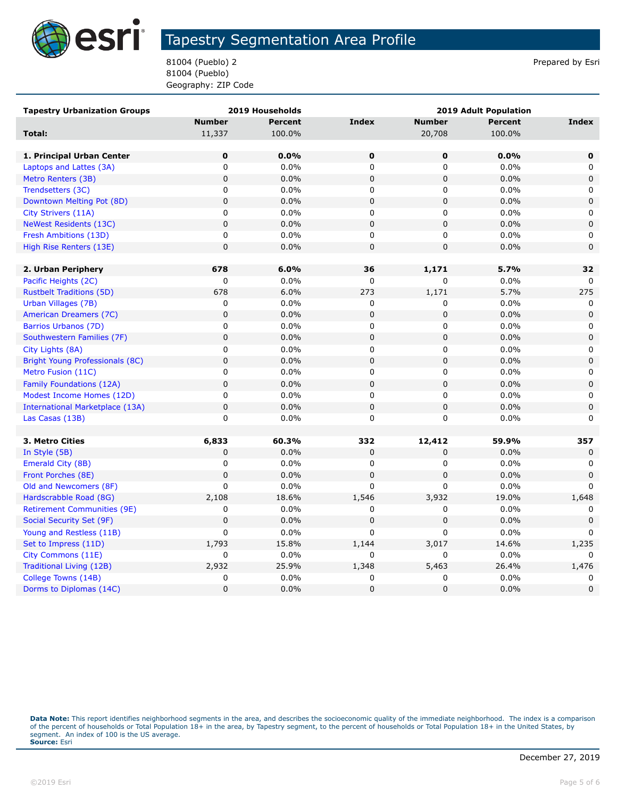

81004 (Pueblo) 2 Prepared by Esri 81004 (Pueblo) Geography: ZIP Code

| <b>Tapestry Urbanization Groups</b>    |                | 2019 Households | <b>2019 Adult Population</b> |               |                |             |
|----------------------------------------|----------------|-----------------|------------------------------|---------------|----------------|-------------|
|                                        | <b>Number</b>  | <b>Percent</b>  | <b>Index</b>                 | <b>Number</b> | <b>Percent</b> | Index       |
| Total:                                 | 11,337         | 100.0%          |                              | 20,708        | 100.0%         |             |
|                                        |                |                 |                              |               |                |             |
| 1. Principal Urban Center              | 0              | 0.0%            | 0                            | 0             | 0.0%           | 0           |
| Laptops and Lattes (3A)                | 0              | 0.0%            | 0                            | 0             | 0.0%           | 0           |
| Metro Renters (3B)                     | $\overline{0}$ | 0.0%            | $\mathbf 0$                  | $\mathbf 0$   | 0.0%           | $\mathbf 0$ |
| Trendsetters (3C)                      | 0              | 0.0%            | 0                            | 0             | 0.0%           | 0           |
| Downtown Melting Pot (8D)              | $\mathbf 0$    | 0.0%            | $\pmb{0}$                    | $\pmb{0}$     | 0.0%           | $\mathsf 0$ |
| City Strivers (11A)                    | $\mathbf 0$    | 0.0%            | 0                            | 0             | 0.0%           | 0           |
| <b>NeWest Residents (13C)</b>          | $\mathbf 0$    | 0.0%            | $\mathsf 0$                  | $\pmb{0}$     | 0.0%           | $\mathbf 0$ |
| Fresh Ambitions (13D)                  | 0              | 0.0%            | 0                            | 0             | 0.0%           | 0           |
| High Rise Renters (13E)                | $\mathbf 0$    | 0.0%            | $\mathbf 0$                  | $\mathbf 0$   | 0.0%           | $\mathbf 0$ |
|                                        |                |                 |                              |               |                |             |
| 2. Urban Periphery                     | 678            | 6.0%            | 36                           | 1,171         | 5.7%           | 32          |
| Pacific Heights (2C)                   | 0              | 0.0%            | 0                            | 0             | 0.0%           | 0           |
| <b>Rustbelt Traditions (5D)</b>        | 678            | 6.0%            | 273                          | 1,171         | 5.7%           | 275         |
| Urban Villages (7B)                    | 0              | 0.0%            | 0                            | 0             | 0.0%           | 0           |
| American Dreamers (7C)                 | $\pmb{0}$      | 0.0%            | $\pmb{0}$                    | 0             | 0.0%           | $\mathbf 0$ |
| Barrios Urbanos (7D)                   | 0              | 0.0%            | 0                            | 0             | 0.0%           | 0           |
| Southwestern Families (7F)             | $\mathbf 0$    | 0.0%            | $\mathbf 0$                  | $\mathbf 0$   | 0.0%           | $\mathbf 0$ |
| City Lights (8A)                       | 0              | 0.0%            | 0                            | 0             | $0.0\%$        | 0           |
| Bright Young Professionals (8C)        | $\mathbf 0$    | 0.0%            | $\mathbf 0$                  | 0             | 0.0%           | $\mathbf 0$ |
| Metro Fusion (11C)                     | 0              | 0.0%            | 0                            | 0             | 0.0%           | $\mathbf 0$ |
| Family Foundations (12A)               | $\mathbf 0$    | 0.0%            | $\mathsf 0$                  | $\mathbf 0$   | 0.0%           | $\mathbf 0$ |
| Modest Income Homes (12D)              | $\mathbf 0$    | 0.0%            | 0                            | 0             | 0.0%           | 0           |
| <b>International Marketplace (13A)</b> | $\overline{0}$ | 0.0%            | $\mathbf 0$                  | $\mathbf 0$   | 0.0%           | $\mathbf 0$ |
| Las Casas (13B)                        | $\mathsf 0$    | 0.0%            | 0                            | 0             | 0.0%           | $\mathbf 0$ |
|                                        |                |                 |                              |               |                |             |
| 3. Metro Cities                        | 6,833          | 60.3%           | 332                          | 12,412        | 59.9%          | 357         |
| In Style (5B)                          | $\mathbf 0$    | 0.0%            | 0                            | 0             | 0.0%           | $\mathbf 0$ |
| Emerald City (8B)                      | 0              | 0.0%            | 0                            | 0             | 0.0%           | 0           |
| Front Porches (8E)                     | $\mathbf 0$    | 0.0%            | $\mathbf 0$                  | 0             | 0.0%           | $\mathbf 0$ |
| Old and Newcomers (8F)                 | $\mathbf 0$    | 0.0%            | 0                            | $\Omega$      | 0.0%           | $\Omega$    |
| Hardscrabble Road (8G)                 | 2,108          | 18.6%           | 1,546                        | 3,932         | 19.0%          | 1,648       |
| <b>Retirement Communities (9E)</b>     | 0              | 0.0%            | 0                            | 0             | 0.0%           | 0           |
| Social Security Set (9F)               | $\mathbf 0$    | 0.0%            | $\mathbf 0$                  | $\pmb{0}$     | 0.0%           | $\mathbf 0$ |
| Young and Restless (11B)               | $\mathbf 0$    | 0.0%            | 0                            | 0             | 0.0%           | n           |
| Set to Impress (11D)                   | 1,793          | 15.8%           | 1,144                        | 3,017         | 14.6%          | 1,235       |
| City Commons (11E)                     | 0              | 0.0%            | $\Omega$                     | 0             | 0.0%           | $\Omega$    |
| Traditional Living (12B)               | 2,932          | 25.9%           | 1,348                        | 5,463         | 26.4%          | 1,476       |
| College Towns (14B)                    | 0              | 0.0%            | 0                            | 0             | 0.0%           | 0           |
| Dorms to Diplomas (14C)                | $\overline{0}$ | 0.0%            | $\mathbf 0$                  | 0             | 0.0%           | $\mathbf 0$ |